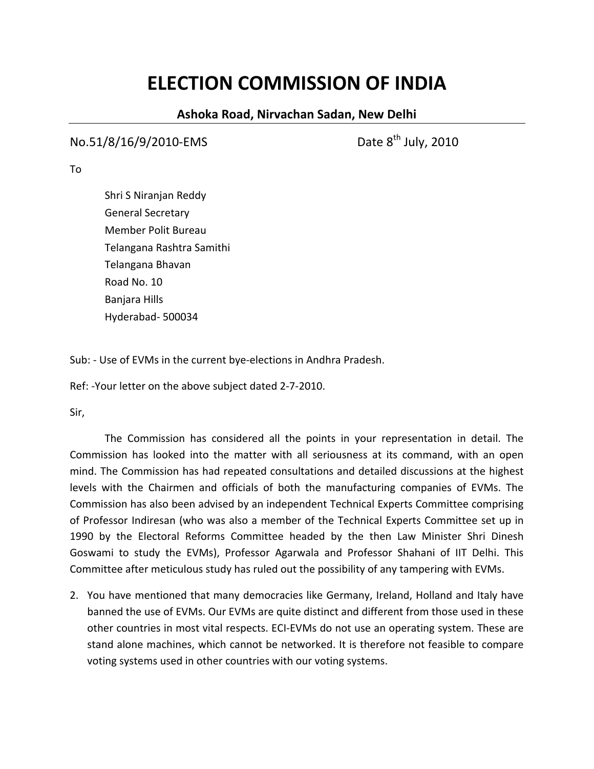## **ELECTION COMMISSION OF INDIA**

## **Ashoka Road, Nirvachan Sadan, New Delhi**

## $No.51/8/16/9/2010$ -EMS Date  $8<sup>th</sup>$  July, 2010

To

Shri S Niranjan Reddy General Secretary Member Polit Bureau Telangana Rashtra Samithi Telangana Bhavan Road No. 10 Banjara Hills Hyderabad‐ 500034

Sub: ‐ Use of EVMs in the current bye‐elections in Andhra Pradesh.

Ref: ‐Your letter on the above subject dated 2‐7‐2010.

Sir,

The Commission has considered all the points in your representation in detail. The Commission has looked into the matter with all seriousness at its command, with an open mind. The Commission has had repeated consultations and detailed discussions at the highest levels with the Chairmen and officials of both the manufacturing companies of EVMs. The Commission has also been advised by an independent Technical Experts Committee comprising of Professor Indiresan (who was also a member of the Technical Experts Committee set up in 1990 by the Electoral Reforms Committee headed by the then Law Minister Shri Dinesh Goswami to study the EVMs), Professor Agarwala and Professor Shahani of IIT Delhi. This Committee after meticulous study has ruled out the possibility of any tampering with EVMs.

2. You have mentioned that many democracies like Germany, Ireland, Holland and Italy have banned the use of EVMs. Our EVMs are quite distinct and different from those used in these other countries in most vital respects. ECI‐EVMs do not use an operating system. These are stand alone machines, which cannot be networked. It is therefore not feasible to compare voting systems used in other countries with our voting systems.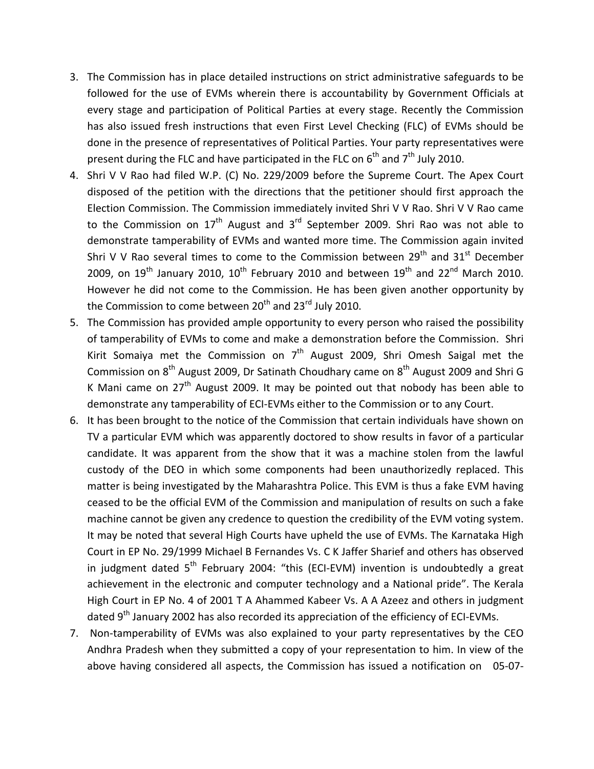- 3. The Commission has in place detailed instructions on strict administrative safeguards to be followed for the use of EVMs wherein there is accountability by Government Officials at every stage and participation of Political Parties at every stage. Recently the Commission has also issued fresh instructions that even First Level Checking (FLC) of EVMs should be done in the presence of representatives of Political Parties. Your party representatives were present during the FLC and have participated in the FLC on  $6^{th}$  and  $7^{th}$  July 2010.
- 4. Shri V V Rao had filed W.P. (C) No. 229/2009 before the Supreme Court. The Apex Court disposed of the petition with the directions that the petitioner should first approach the Election Commission. The Commission immediately invited Shri V V Rao. Shri V V Rao came to the Commission on  $17<sup>th</sup>$  August and  $3<sup>rd</sup>$  September 2009. Shri Rao was not able to demonstrate tamperability of EVMs and wanted more time. The Commission again invited Shri V V Rao several times to come to the Commission between  $29<sup>th</sup>$  and  $31<sup>st</sup>$  December 2009, on  $19<sup>th</sup>$  January 2010,  $10<sup>th</sup>$  February 2010 and between  $19<sup>th</sup>$  and 22<sup>nd</sup> March 2010. However he did not come to the Commission. He has been given another opportunity by the Commission to come between 20<sup>th</sup> and 23<sup>rd</sup> July 2010.
- 5. The Commission has provided ample opportunity to every person who raised the possibility of tamperability of EVMs to come and make a demonstration before the Commission. Shri Kirit Somaiya met the Commission on  $7<sup>th</sup>$  August 2009, Shri Omesh Saigal met the Commission on  $8<sup>th</sup>$  August 2009, Dr Satinath Choudhary came on  $8<sup>th</sup>$  August 2009 and Shri G K Mani came on  $27<sup>th</sup>$  August 2009. It may be pointed out that nobody has been able to demonstrate any tamperability of ECI‐EVMs either to the Commission or to any Court.
- 6. It has been brought to the notice of the Commission that certain individuals have shown on TV a particular EVM which was apparently doctored to show results in favor of a particular candidate. It was apparent from the show that it was a machine stolen from the lawful custody of the DEO in which some components had been unauthorizedly replaced. This matter is being investigated by the Maharashtra Police. This EVM is thus a fake EVM having ceased to be the official EVM of the Commission and manipulation of results on such a fake machine cannot be given any credence to question the credibility of the EVM voting system. It may be noted that several High Courts have upheld the use of EVMs. The Karnataka High Court in EP No. 29/1999 Michael B Fernandes Vs. C K Jaffer Sharief and others has observed in judgment dated  $5<sup>th</sup>$  February 2004: "this (ECI-EVM) invention is undoubtedly a great achievement in the electronic and computer technology and a National pride". The Kerala High Court in EP No. 4 of 2001 T A Ahammed Kabeer Vs. A A Azeez and others in judgment dated  $9<sup>th</sup>$  January 2002 has also recorded its appreciation of the efficiency of ECI-EVMs.
- 7. Non-tamperability of EVMs was also explained to your party representatives by the CEO Andhra Pradesh when they submitted a copy of your representation to him. In view of the above having considered all aspects, the Commission has issued a notification on 05‐07‐